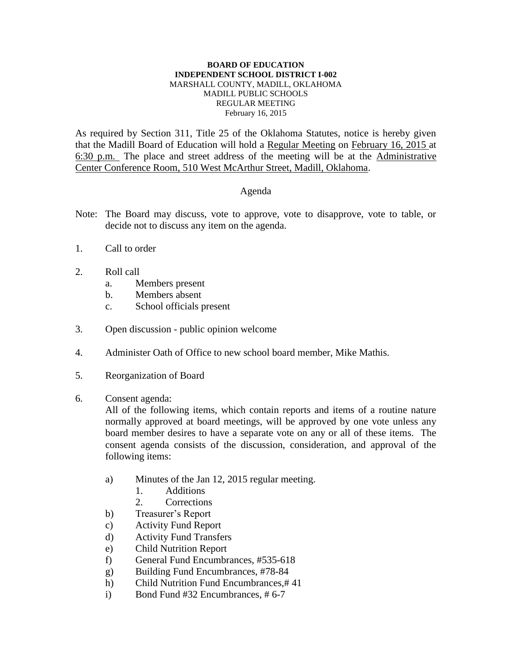## **BOARD OF EDUCATION INDEPENDENT SCHOOL DISTRICT I-002** MARSHALL COUNTY, MADILL, OKLAHOMA MADILL PUBLIC SCHOOLS REGULAR MEETING February 16, 2015

As required by Section 311, Title 25 of the Oklahoma Statutes, notice is hereby given that the Madill Board of Education will hold a Regular Meeting on February 16, 2015 at 6:30 p.m. The place and street address of the meeting will be at the Administrative Center Conference Room, 510 West McArthur Street, Madill, Oklahoma.

## Agenda

- Note: The Board may discuss, vote to approve, vote to disapprove, vote to table, or decide not to discuss any item on the agenda.
- 1. Call to order
- 2. Roll call
	- a. Members present
	- b. Members absent
	- c. School officials present
- 3. Open discussion public opinion welcome
- 4. Administer Oath of Office to new school board member, Mike Mathis.
- 5. Reorganization of Board
- 6. Consent agenda:

All of the following items, which contain reports and items of a routine nature normally approved at board meetings, will be approved by one vote unless any board member desires to have a separate vote on any or all of these items. The consent agenda consists of the discussion, consideration, and approval of the following items:

- a) Minutes of the Jan 12, 2015 regular meeting.
	- 1. Additions
	- 2. Corrections
- b) Treasurer's Report
- c) Activity Fund Report
- d) Activity Fund Transfers
- e) Child Nutrition Report
- f) General Fund Encumbrances, #535-618
- g) Building Fund Encumbrances, #78-84
- h) Child Nutrition Fund Encumbrances,# 41
- i) Bond Fund #32 Encumbrances, # 6-7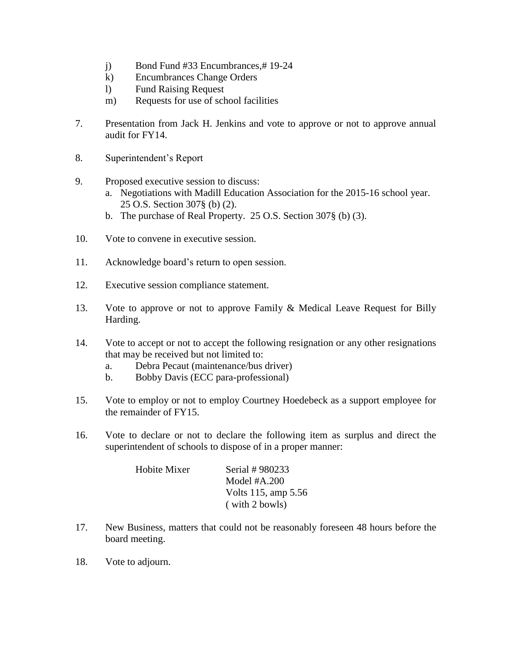- j) Bond Fund #33 Encumbrances,# 19-24
- k) Encumbrances Change Orders
- l) Fund Raising Request
- m) Requests for use of school facilities
- 7. Presentation from Jack H. Jenkins and vote to approve or not to approve annual audit for FY14.
- 8. Superintendent's Report
- 9. Proposed executive session to discuss:
	- a. Negotiations with Madill Education Association for the 2015-16 school year. 25 O.S. Section 307§ (b) (2).
	- b. The purchase of Real Property. 25 O.S. Section 307§ (b) (3).
- 10. Vote to convene in executive session.
- 11. Acknowledge board's return to open session.
- 12. Executive session compliance statement.
- 13. Vote to approve or not to approve Family & Medical Leave Request for Billy Harding.
- 14. Vote to accept or not to accept the following resignation or any other resignations that may be received but not limited to:
	- a. Debra Pecaut (maintenance/bus driver)
	- b. Bobby Davis (ECC para-professional)
- 15. Vote to employ or not to employ Courtney Hoedebeck as a support employee for the remainder of FY15.
- 16. Vote to declare or not to declare the following item as surplus and direct the superintendent of schools to dispose of in a proper manner:

| Hobite Mixer | Serial # 980233     |
|--------------|---------------------|
|              | Model $#A.200$      |
|              | Volts 115, amp 5.56 |
|              | $(with 2$ bowls)    |

- 17. New Business, matters that could not be reasonably foreseen 48 hours before the board meeting.
- 18. Vote to adjourn.